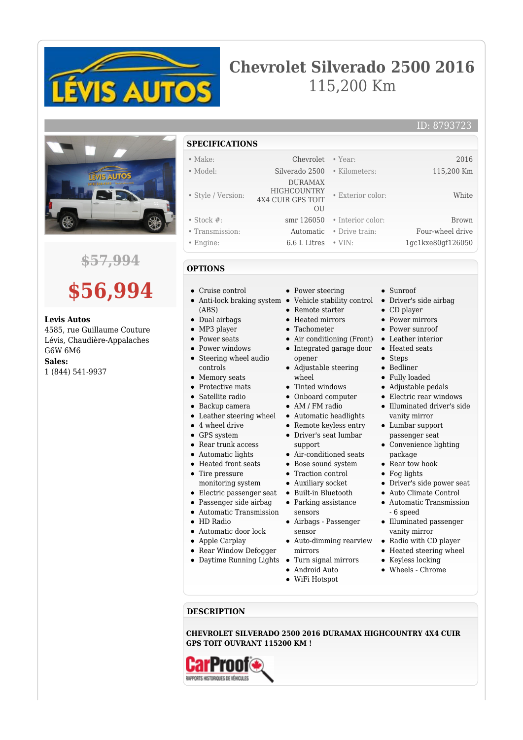

## **Chevrolet Silverado 2500 2016** 115,200 Km



## **\$57,994**



## **Levis Autos**

4585, rue Guillaume Couture Lévis, Chaudière-Appalaches G6W 6M6

**Sales:**

1 (844) 541-9937

- **SPECIFICATIONS** • Make: Chevrolet • Year: 2016 • Model: Silverado 2500 • Kilometers: 115,200 Km • Style / Version: DURAMAX HIGHCOUNTRY 4X4 CUIR GPS TOIT  $O<sub>U</sub>$ • Exterior color: White • Stock #: smr 126050 • Interior color: Brown • Transmission: Automatic • Drive train: Four-wheel drive
- Engine: 6.6 L Litres VIN: 1gc1kxe80gf126050

Cruise control

- Anti-lock braking system (ABS)
- Dual airbags
- MP3 player
- Power seats  $\bullet$
- Power windows  $\bullet$
- $\bullet$ Steering wheel audio controls
- Memory seats
- Protective mats
- Satellite radio
- Backup camera
- Leather steering wheel
- 4 wheel drive
- GPS system
- Rear trunk access
- Automatic lights
- Heated front seats • Tire pressure
- monitoring system
- Electric passenger seat
- Passenger side airbag
- Automatic Transmission
- HD Radio
- Automatic door lock
- Apple Carplay
- Rear Window Defogger
- Daytime Running Lights
	-
- $\bullet$
- 
- Sunroof
- Driver's side airbag
- CD player
- Power mirrors
- Power sunroof
- Air conditioning (Front) Leather interior
	- Heated seats
	- Steps
	- Bedliner
	- Fully loaded
	- Adjustable pedals
	- Electric rear windows Illuminated driver's side vanity mirror
	- Lumbar support passenger seat
	- Convenience lighting package
	- Rear tow hook
	- Fog lights
		- Driver's side power seat
		- Auto Climate Control
			- Automatic Transmission - 6 speed
			- Illuminated passenger vanity mirror
			- Radio with CD player
			- Heated steering wheel
			- Keyless locking
			- Wheels Chrome

**DESCRIPTION**

**CHEVROLET SILVERADO 2500 2016 DURAMAX HIGHCOUNTRY 4X4 CUIR GPS TOIT OUVRANT 115200 KM !**

- **OPTIONS**
	- Power steering
		- Vehicle stability control • Remote starter
			- Heated mirrors
			- Tachometer
			-
			- Integrated garage door opener
			- Adjustable steering
				- wheel
			- Tinted windows Onboard computer
			- AM / FM radio
			-
		- Automatic headlights Remote keyless entry
		- Driver's seat lumbar support
		- Air-conditioned seats
		- Bose sound system
		- Traction control
		- Auxiliary socket
		- Built-in Bluetooth
		- Parking assistance
		- sensors Airbags - Passenger sensor
		- Auto-dimming rearview mirrors
		- Turn signal mirrors
		- Android Auto
		- WiFi Hotspot
- $\bullet$ 
	- -
	-